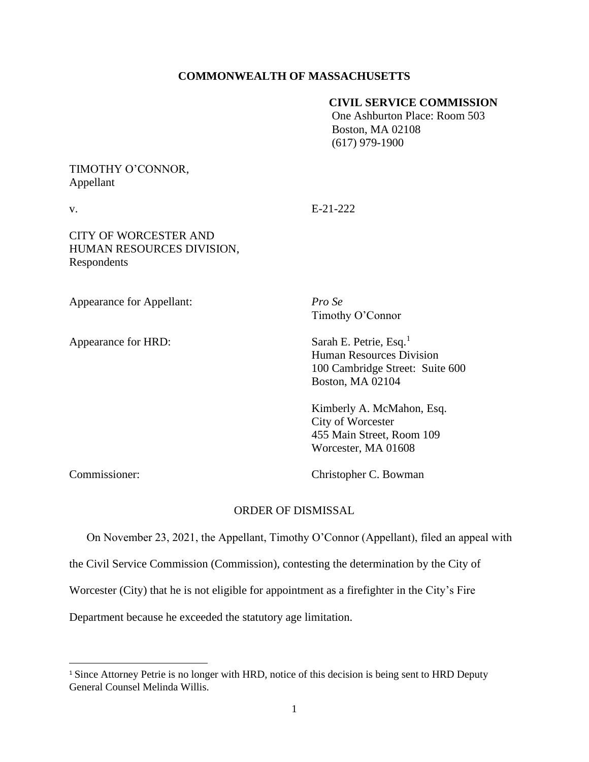## **COMMONWEALTH OF MASSACHUSETTS**

## **CIVIL SERVICE COMMISSION**

 One Ashburton Place: Room 503 Boston, MA 02108 (617) 979-1900

## TIMOTHY O'CONNOR, Appellant

v. E-21-222

# CITY OF WORCESTER AND HUMAN RESOURCES DIVISION, Respondents

Appearance for Appellant: *Pro Se*

Appearance for HRD: Sarah E. Petrie, Esq.<sup>1</sup>

Timothy O'Connor

Human Resources Division 100 Cambridge Street: Suite 600 Boston, MA 02104

Kimberly A. McMahon, Esq. City of Worcester 455 Main Street, Room 109 Worcester, MA 01608

Commissioner: Christopher C. Bowman

### ORDER OF DISMISSAL

On November 23, 2021, the Appellant, Timothy O'Connor (Appellant), filed an appeal with

the Civil Service Commission (Commission), contesting the determination by the City of

Worcester (City) that he is not eligible for appointment as a firefighter in the City's Fire

Department because he exceeded the statutory age limitation.

<sup>&</sup>lt;sup>1</sup> Since Attorney Petrie is no longer with HRD, notice of this decision is being sent to HRD Deputy General Counsel Melinda Willis.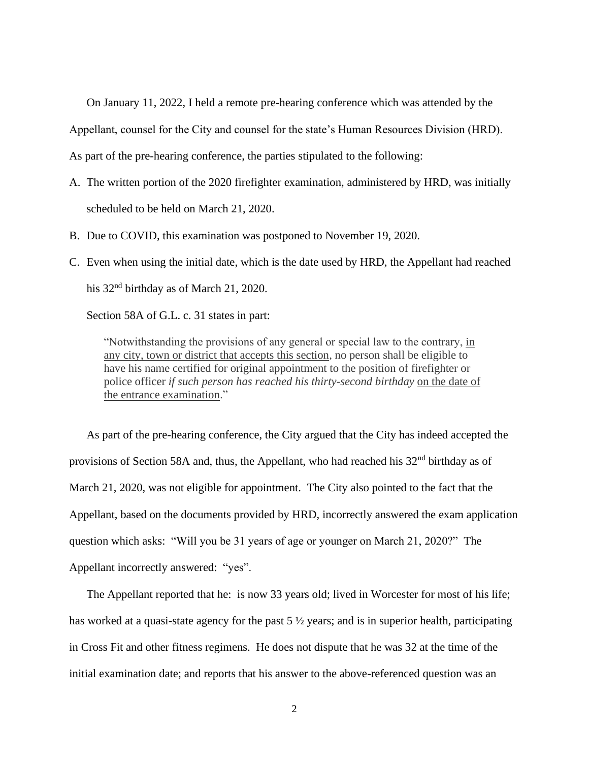On January 11, 2022, I held a remote pre-hearing conference which was attended by the

Appellant, counsel for the City and counsel for the state's Human Resources Division (HRD).

As part of the pre-hearing conference, the parties stipulated to the following:

- A. The written portion of the 2020 firefighter examination, administered by HRD, was initially scheduled to be held on March 21, 2020.
- B. Due to COVID, this examination was postponed to November 19, 2020.
- C. Even when using the initial date, which is the date used by HRD, the Appellant had reached his 32<sup>nd</sup> birthday as of March 21, 2020.

Section 58A of G.L. c. 31 states in part:

"Notwithstanding the provisions of any general or special law to the contrary, in any city, town or district that accepts this section, no person shall be eligible to have his name certified for original appointment to the position of firefighter or police officer *if such person has reached his thirty-second birthday* on the date of the entrance examination."

As part of the pre-hearing conference, the City argued that the City has indeed accepted the provisions of Section 58A and, thus, the Appellant, who had reached his 32<sup>nd</sup> birthday as of March 21, 2020, was not eligible for appointment. The City also pointed to the fact that the Appellant, based on the documents provided by HRD, incorrectly answered the exam application question which asks: "Will you be 31 years of age or younger on March 21, 2020?" The Appellant incorrectly answered: "yes".

The Appellant reported that he: is now 33 years old; lived in Worcester for most of his life; has worked at a quasi-state agency for the past 5 ½ years; and is in superior health, participating in Cross Fit and other fitness regimens. He does not dispute that he was 32 at the time of the initial examination date; and reports that his answer to the above-referenced question was an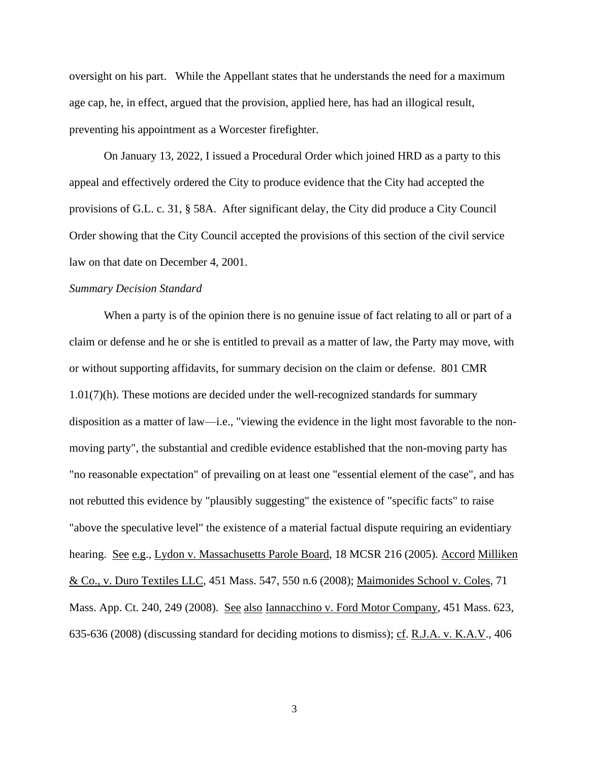oversight on his part. While the Appellant states that he understands the need for a maximum age cap, he, in effect, argued that the provision, applied here, has had an illogical result, preventing his appointment as a Worcester firefighter.

On January 13, 2022, I issued a Procedural Order which joined HRD as a party to this appeal and effectively ordered the City to produce evidence that the City had accepted the provisions of G.L. c. 31, § 58A. After significant delay, the City did produce a City Council Order showing that the City Council accepted the provisions of this section of the civil service law on that date on December 4, 2001.

### *Summary Decision Standard*

When a party is of the opinion there is no genuine issue of fact relating to all or part of a claim or defense and he or she is entitled to prevail as a matter of law, the Party may move, with or without supporting affidavits, for summary decision on the claim or defense. 801 CMR 1.01(7)(h). These motions are decided under the well-recognized standards for summary disposition as a matter of law—i.e., "viewing the evidence in the light most favorable to the nonmoving party", the substantial and credible evidence established that the non-moving party has "no reasonable expectation" of prevailing on at least one "essential element of the case", and has not rebutted this evidence by "plausibly suggesting" the existence of "specific facts" to raise "above the speculative level" the existence of a material factual dispute requiring an evidentiary hearing. See e.g., Lydon v. Massachusetts Parole Board, 18 MCSR 216 (2005). Accord Milliken & Co., v. Duro Textiles LLC, [451 Mass. 547,](http://sll.gvpi.net/document.php?field=jd&value=sjcapp:451_mass._547) 550 n.6 (2008); Maimonides School v. Coles, 71 Mass. App. Ct. 240, 249 (2008). See also Iannacchino v. Ford Motor Company, [451 Mass. 623,](http://sll.gvpi.net/document.php?field=jd&value=sjcapp:451_mass._623) 635-636 (2008) (discussing standard for deciding motions to dismiss); cf. R.J.A. v. K.A.V., [406](http://sll.gvpi.net/document.php?field=jd&value=sjcapp:406_mass._698)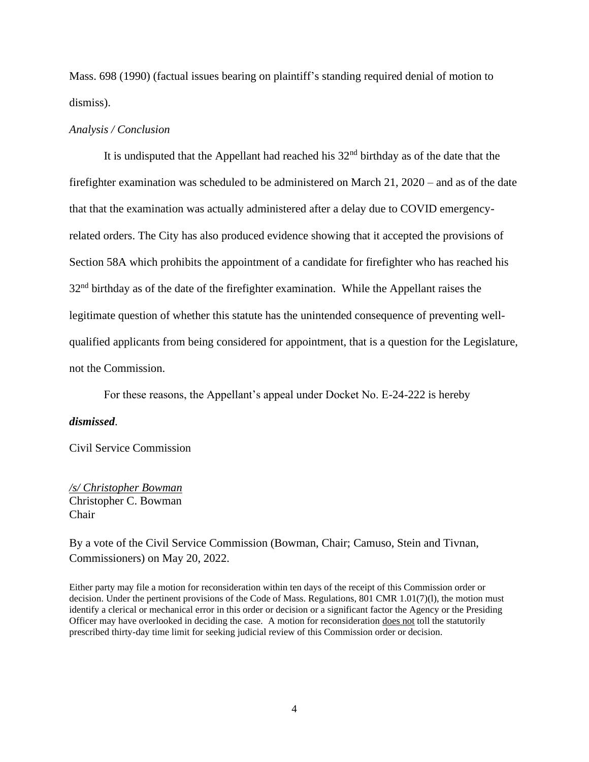[Mass. 698](http://sll.gvpi.net/document.php?field=jd&value=sjcapp:406_mass._698) (1990) (factual issues bearing on plaintiff's standing required denial of motion to dismiss).

### *Analysis / Conclusion*

It is undisputed that the Appellant had reached his  $32<sup>nd</sup>$  birthday as of the date that the firefighter examination was scheduled to be administered on March 21, 2020 – and as of the date that that the examination was actually administered after a delay due to COVID emergencyrelated orders. The City has also produced evidence showing that it accepted the provisions of Section 58A which prohibits the appointment of a candidate for firefighter who has reached his 32<sup>nd</sup> birthday as of the date of the firefighter examination. While the Appellant raises the legitimate question of whether this statute has the unintended consequence of preventing wellqualified applicants from being considered for appointment, that is a question for the Legislature, not the Commission.

For these reasons, the Appellant's appeal under Docket No. E-24-222 is hereby

### *dismissed*.

Civil Service Commission

*/s/ Christopher Bowman* Christopher C. Bowman Chair

By a vote of the Civil Service Commission (Bowman, Chair; Camuso, Stein and Tivnan, Commissioners) on May 20, 2022.

Either party may file a motion for reconsideration within ten days of the receipt of this Commission order or decision. Under the pertinent provisions of the Code of Mass. Regulations, 801 CMR 1.01(7)(l), the motion must identify a clerical or mechanical error in this order or decision or a significant factor the Agency or the Presiding Officer may have overlooked in deciding the case. A motion for reconsideration does not toll the statutorily prescribed thirty-day time limit for seeking judicial review of this Commission order or decision.